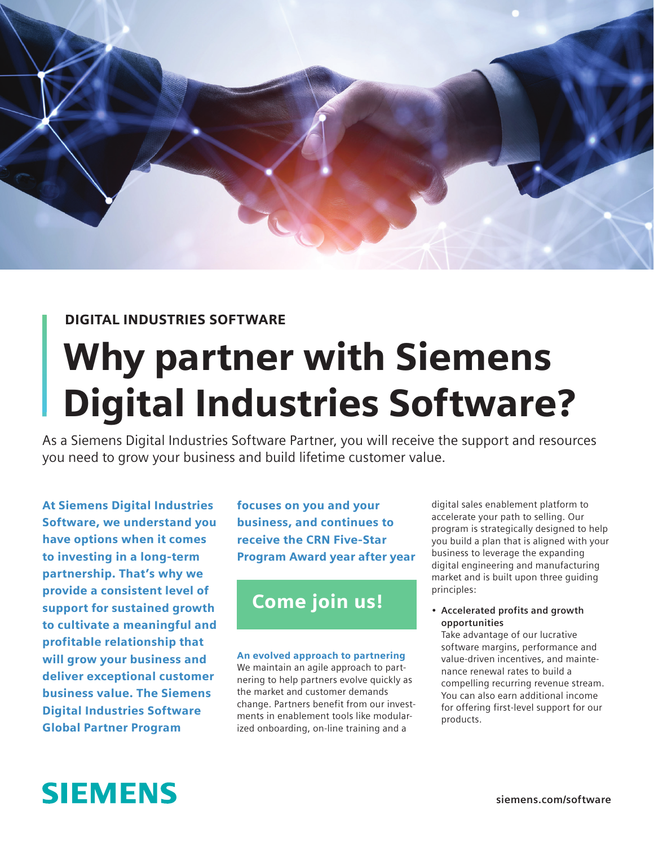

#### DIGITAL INDUSTRIES SOFTWARE

# Why partner with Siemens Digital Industries Software?

As a Siemens Digital Industries Software Partner, you will receive the support and resources you need to grow your business and build lifetime customer value.

At Siemens Digital Industries Software, we understand you have options when it comes to investing in a long-term partnership. That's why we provide a consistent level of support for sustained growth to cultivate a meaningful and profitable relationship that will grow your business and deliver exceptional customer business value. The Siemens Digital Industries Software Global Partner Program

focuses on you and your business, and continues to receive the CRN Five-Star Program Award year after year

### Come join us!

#### An evolved approach to partnering

We maintain an agile approach to partnering to help partners evolve quickly as the market and customer demands change. Partners benefit from our investments in enablement tools like modularized onboarding, on-line training and a

digital sales enablement platform to accelerate your path to selling. Our program is strategically designed to help you build a plan that is aligned with your business to leverage the expanding digital engineering and manufacturing market and is built upon three guiding principles:

• **Accelerated profits and growth opportunities**

Take advantage of our lucrative software margins, performance and value-driven incentives, and maintenance renewal rates to build a compelling recurring revenue stream. You can also earn additional income for offering first-level support for our products.

## **SIEMENS**